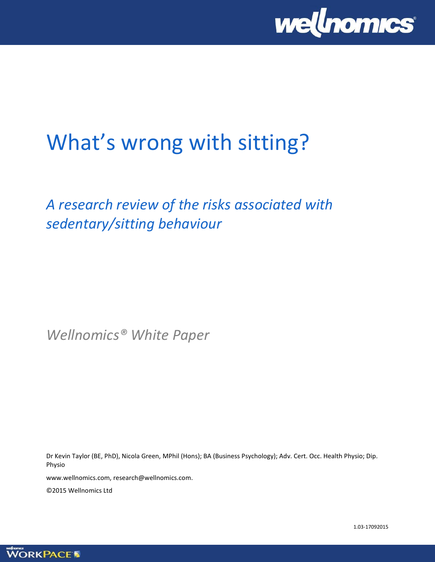

# What's wrong with sitting?

# *A research review of the risks associated with sedentary/sitting behaviour*

*Wellnomics® White Paper*

Dr Kevin Taylor (BE, PhD), Nicola Green, MPhil (Hons); BA (Business Psychology); Adv. Cert. Occ. Health Physio; Dip. Physio

www.wellnomics.com, research@wellnomics.com.

©2015 Wellnomics Ltd

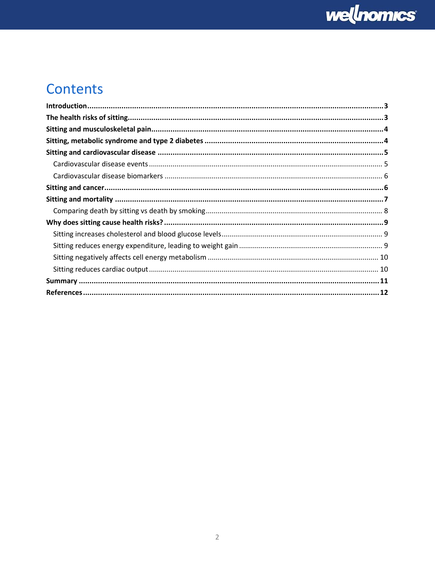

# Contents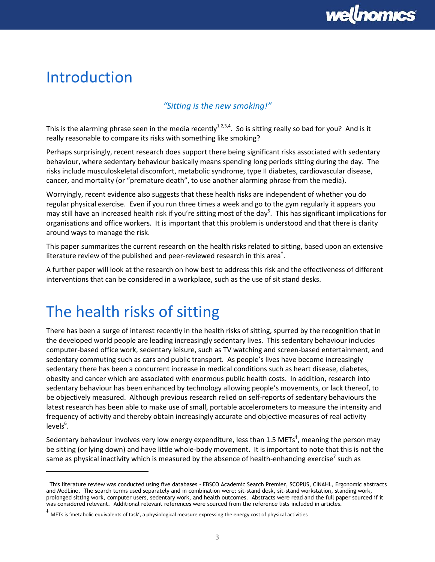# Introduction

### <span id="page-2-0"></span>*"Sitting is the new smoking!"*

This is the alarming phrase seen in the media recently<sup>1,2,3,4</sup>. So is sitting really so bad for you? And is it really reasonable to compare its risks with something like smoking?

Perhaps surprisingly, recent research does support there being significant risks associated with sedentary behaviour, where sedentary behaviour basically means spending long periods sitting during the day. The risks include musculoskeletal discomfort, metabolic syndrome, type II diabetes, cardiovascular disease, cancer, and mortality (or "premature death", to use another alarming phrase from the media).

Worryingly, recent evidence also suggests that these health risks are independent of whether you do regular physical exercise. Even if you run three times a week and go to the gym regularly it appears you may still have an increased health risk if you're sitting most of the day<sup>5</sup>. This has significant implications for organisations and office workers. It is important that this problem is understood and that there is clarity around ways to manage the risk.

This paper summarizes the current research on the health risks related to sitting, based upon an extensive literature review of the published and peer-reviewed research in this area<sup>+</sup>.

A further paper will look at the research on how best to address this risk and the effectiveness of different interventions that can be considered in a workplace, such as the use of sit stand desks.

# The health risks of sitting

<span id="page-2-1"></span> $\overline{a}$ 

There has been a surge of interest recently in the health risks of sitting, spurred by the recognition that in the developed world people are leading increasingly sedentary lives. This sedentary behaviour includes computer-based office work, sedentary leisure, such as TV watching and screen-based entertainment, and sedentary commuting such as cars and public transport. As people's lives have become increasingly sedentary there has been a concurrent increase in medical conditions such as heart disease, diabetes, obesity and cancer which are associated with enormous public health costs. In addition, research into sedentary behaviour has been enhanced by technology allowing people's movements, or lack thereof, to be objectively measured. Although previous research relied on self-reports of sedentary behaviours the latest research has been able to make use of small, portable accelerometers to measure the intensity and frequency of activity and thereby obtain increasingly accurate and objective measures of real activity levels<sup>6</sup>.

Sedentary behaviour involves very low energy expenditure, less than 1.5 METs<sup>‡</sup>, meaning the person may be sitting (or lying down) and have little whole-body movement. It is important to note that this is not the same as physical inactivity which is measured by the absence of health-enhancing exercise<sup>7</sup> such as

<sup>†</sup> This literature review was conducted using five databases - EBSCO Academic Search Premier, SCOPUS, CINAHL, Ergonomic abstracts and MedLine. The search terms used separately and in combination were: sit-stand desk, sit-stand workstation, standing work, prolonged sitting work, computer users, sedentary work, and health outcomes. Abstracts were read and the full paper sourced if it was considered relevant. Additional relevant references were sourced from the reference lists included in articles.

<sup>‡</sup> METs is 'metabolic equivalents of task', a physiological measure expressing the energy cost of physical activities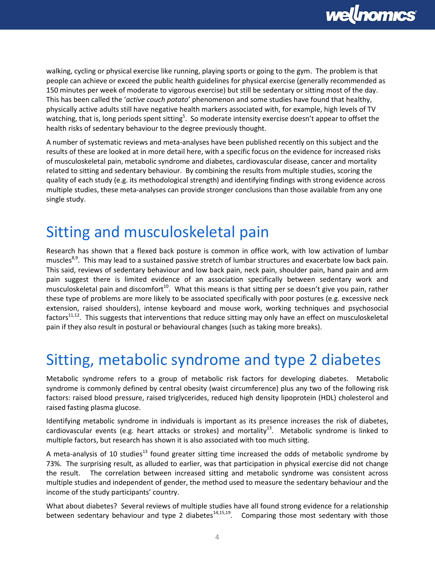

walking, cycling or physical exercise like running, playing sports or going to the gym. The problem is that people can achieve or exceed the public health guidelines for physical exercise (generally recommended as 150 minutes per week of moderate to vigorous exercise) but still be sedentary or sitting most of the day. This has been called the '*active couch potato*' phenomenon and some studies have found that healthy, physically active adults still have negative health markers associated with, for example, high levels of TV watching, that is, long periods spent sitting<sup>5</sup>[.](#page-2-0) So moderate intensity exercise doesn't appear to offset the health risks of sedentary behaviour to the degree previously thought.

A number of systematic reviews and meta-analyses have been published recently on this subject and the results of these are looked at in more detail here, with a specific focus on the evidence for increased risks of musculoskeletal pain, metabolic syndrome and diabetes, cardiovascular disease, cancer and mortality related to sitting and sedentary behaviour. By combining the results from multiple studies, scoring the quality of each study (e.g. its methodological strength) and identifying findings with strong evidence across multiple studies, these meta-analyses can provide stronger conclusions than those available from any one single study.

### Sitting and musculoskeletal pain

<span id="page-3-3"></span>Research has shown that a flexed back posture is common in office work, with low activation of lumbar muscles<sup>8,9</sup>. This may lead to a sustained passive stretch of lumbar structures and exacerbate low back pain. This said, reviews of sedentary behaviour and low back pain, neck pain, shoulder pain, hand pain and arm pain suggest there is limited evidence of an association specifically between sedentary work and musculoskeletal pain and discomfort<sup>10</sup>. What this means is that sitting per se doesn't give you pain, rather these type of problems are more likely to be associated specifically with poor postures (e.g. excessive neck extension, raised shoulders), intense keyboard and mouse work, working techniques and psychosocial factors<sup>11,12</sup>. This suggests that interventions that reduce sitting may only have an effect on musculoskeletal pain if they also result in postural or behavioural changes (such as taking more breaks).

# Sitting, metabolic syndrome and type 2 diabetes

Metabolic syndrome refers to a group of metabolic risk factors for developing diabetes. Metabolic syndrome is commonly defined by central obesity (waist circumference) plus any two of the following risk factors: raised blood pressure, raised triglycerides, reduced high density lipoprotein (HDL) cholesterol and raised fasting plasma glucose.

<span id="page-3-0"></span>Identifying metabolic syndrome in individuals is important as its presence increases the risk of diabetes, cardiovascular events (e.g. heart attacks or strokes) and mortality $^{13}$ . Metabolic syndrome is linked to multiple factors, but research has shown it is also associated with too much sitting.

A meta-analysis of 10 studies<sup>[13](#page-3-0)</sup> found greater sitting time increased the odds of metabolic syndrome by 73%. The surprising result, as alluded to earlier, was that participation in physical exercise did not change the result. The correlation between increased sitting and metabolic syndrome was consistent across multiple studies and independent of gender, the method used to measure the sedentary behaviour and the income of the study participants' country.

<span id="page-3-2"></span><span id="page-3-1"></span>What about diabetes? Several reviews of multiple studies have all found strong evidence for a relationship between sedentary behaviour and type 2 diabetes $^{14,15,19}$  $^{14,15,19}$  $^{14,15,19}$ . Comparing those most sedentary with those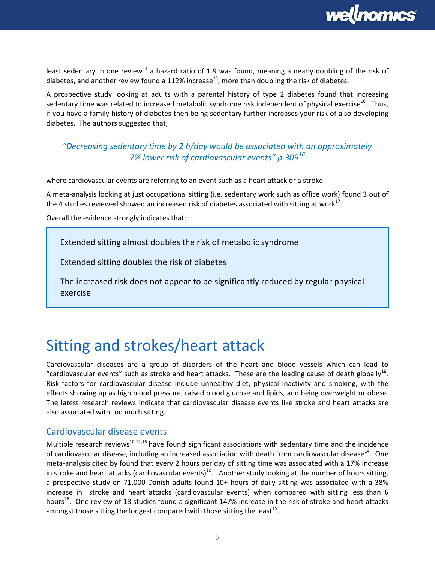<span id="page-4-0"></span>

least sedentary in one review<sup>[14](#page-3-1)</sup> a hazard ratio of 1.9 was found, meaning a nearly doubling of the risk of diabetes, and another review found a 112% increase<sup>[15](#page-3-2)</sup>, more than doubling the risk of diabetes.

A prospective study looking at adults with a parental history of type 2 diabetes found that increasing sedentary time was related to increased metabolic syndrome risk independent of physical exercise<sup>16</sup>. Thus, if you have a family history of diabetes then being sedentary further increases your risk of also developing diabetes. The authors suggested that,

### *"Decreasing sedentary time by 2 h/day would be associated with an approximately 7% lower risk of cardiovascular events" p.309<sup>16</sup>*

where cardiovascular events are referring to an event such as a heart attack or a stroke.

A meta-analysis looking at just occupational sitting (i.e. sedentary work such as office work) found 3 out of the 4 studies reviewed showed an increased risk of diabetes associated with sitting at work<sup>17</sup>.

Overall the evidence strongly indicates that:

Extended sitting almost doubles the risk of metabolic syndrome

Extended sitting doubles the risk of diabetes

The increased risk does not appear to be significantly reduced by regular physical exercise

# Sitting and strokes/heart attack

Cardiovascular diseases are a group of disorders of the heart and blood vessels which can lead to "cardiovascular events" such as stroke and heart attacks. These are the leading cause of death globally $^{18}$ . Risk factors for cardiovascular disease include unhealthy diet, physical inactivity and smoking, with the effects showing up as high blood pressure, raised blood glucose and lipids, and being overweight or obese. The latest research reviews indicate that cardiovascular disease events like stroke and heart attacks are also associated with too much sitting.

#### Cardiovascular disease events

Multiple research reviews<sup>[10,](#page-3-3)[14,](#page-3-1)[15](#page-3-2)</sup> have found' significant associations with sedentary time and the incidence of cardiovascular disease, including an increased association with death from cardiovascular disease<sup>[14](#page-3-1)</sup>. One meta-analysis cited by found that every 2 hours per day of sitting time was associated with a 17% increase in stroke and heart attacks (cardiovascular events)<sup>[10](#page-3-3)</sup>. Another study looking at the number of hours sitting, a prospective study on 71,000 Danish adults found 10+ hours of daily sitting was associated with a 38% increase in stroke and heart attacks (cardiovascular events) when compared with sitting less than 6 hours<sup>[26](#page-6-0)</sup>. One review of 18 studies found a significant 147% increase in the risk of stroke and heart attacks amongst those sitting the longest compared with those sitting the least<sup>[15](#page-3-2)</sup>.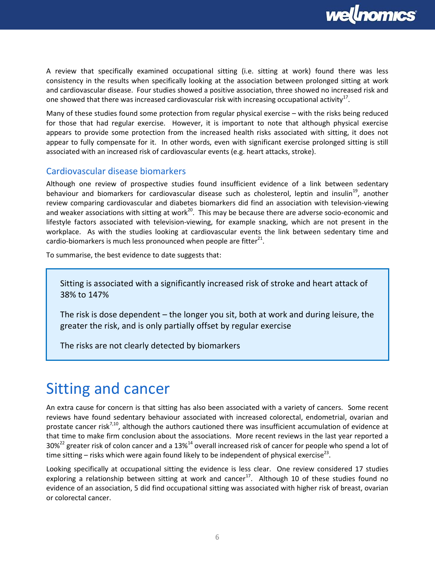<span id="page-5-0"></span>

A review that specifically examined occupational sitting (i.e. sitting at work) found there was less consistency in the results when specifically looking at the association between prolonged sitting at work and cardiovascular disease. Four studies showed a positive association, three showed no increased risk and one showed that there was increased cardiovascular risk with increasing occupational activity<sup>[17](#page-4-0)</sup>.

Many of these studies found some protection from regular physical exercise – with the risks being reduced for those that had regular exercise. However, it is important to note that although physical exercise appears to provide some protection from the increased health risks associated with sitting, it does not appear to fully compensate for it. In other words, even with significant exercise prolonged sitting is still associated with an increased risk of cardiovascular events (e.g. heart attacks, stroke).

#### Cardiovascular disease biomarkers

<span id="page-5-1"></span>Although one review of prospective studies found insufficient evidence of a link between sedentary behaviour and biomarkers for cardiovascular disease such as cholesterol, leptin and insulin<sup>19</sup>, another review comparing cardiovascular and diabetes biomarkers did find an association with television-viewing and weaker associations with sitting at work<sup>20</sup>. This may be because there are adverse socio-economic and lifestyle factors associated with television-viewing, for example snacking, which are not present in the workplace. As with the studies looking at cardiovascular events the link between sedentary time and cardio-biomarkers is much less pronounced when people are fitter $^{21}$ .

To summarise, the best evidence to date suggests that:

Sitting is associated with a significantly increased risk of stroke and heart attack of 38% to 147%

The risk is dose dependent – the longer you sit, both at work and during leisure, the greater the risk, and is only partially offset by regular exercise

The risks are not clearly detected by biomarkers

### Sitting and cancer

An extra cause for concern is that sitting has also been associated with a variety of cancers. Some recent reviews have found sedentary behaviour associated with increased colorectal, endometrial, ovarian and prostate cancer risk<sup>[7,](#page-2-1)[10](#page-3-3)</sup>, although the authors cautioned there was insufficient accumulation of evidence at that time to make firm conclusion about the associations. More recent reviews in the last year reported a 30%<sup>22</sup> greater risk of colon cancer and a 13%<sup>[14](#page-3-1)</sup> overall increased risk of cancer for people who spend a lot of time sitting – risks which were again found likely to be independent of physical exercise<sup>23</sup>.

Looking specifically at occupational sitting the evidence is less clear. One review considered 17 studies exploring a relationship between sitting at work and cancer<sup>[17](#page-4-0)</sup>. Although 10 of these studies found no evidence of an association, 5 did find occupational sitting was associated with higher risk of breast, ovarian or colorectal cancer.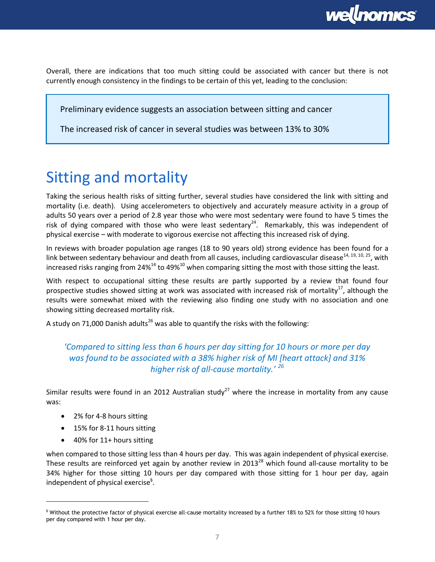

Overall, there are indications that too much sitting could be associated with cancer but there is not currently enough consistency in the findings to be certain of this yet, leading to the conclusion:

Preliminary evidence suggests an association between sitting and cancer

The increased risk of cancer in several studies was between 13% to 30%

# Sitting and mortality

Taking the serious health risks of sitting further, several studies have considered the link with sitting and mortality (i.e. death). Using accelerometers to objectively and accurately measure activity in a group of adults 50 years over a period of 2.8 year those who were most sedentary were found to have 5 times the risk of dying compared with those who were least sedentary<sup>24</sup>. Remarkably, this was independent of physical exercise – with moderate to vigorous exercise not affecting this increased risk of dying.

<span id="page-6-3"></span>In reviews with broader population age ranges (18 to 90 years old) strong evidence has been found for a link between sedentary behaviour and death from all causes, including cardiovascular disease<sup>[14,](#page-3-1) [19,](#page-5-0) [10,](#page-3-3) 25</sup>, with increased risks ranging from 24%<sup>[14](#page-3-1)</sup> to 49%<sup>[10](#page-3-3)</sup> when comparing sitting the most with those sitting the least.

With respect to occupational sitting these results are partly supported by a review that found four prospective studies showed sitting at work was associated with increased risk of mortality<sup>[17](#page-4-0)</sup>, although the results were somewhat mixed with the reviewing also finding one study with no association and one showing sitting decreased mortality risk.

A study on 71,000 Danish adults<sup>[26](#page-6-0)</sup> was able to quantify the risks with the following:

### <span id="page-6-0"></span>*'Compared to sitting less than 6 hours per day sitting for 10 hours or more per day was found to be associated with a 38% higher risk of MI [heart attack] and 31% higher risk of all-cause mortality.' <sup>26</sup>*

Similar results were found in an 2012 Australian study<sup>27</sup> where the increase in mortality from any cause was:

- <span id="page-6-2"></span>• 2% for 4-8 hours sitting
- 15% for 8-11 hours sitting
- <span id="page-6-1"></span>• 40% for 11+ hours sitting

 $\overline{a}$ 

when compared to those sitting less than 4 hours per day. This was again independent of physical exercise. These results are reinforced yet again by another review in  $2013^{28}$  which found all-cause mortality to be 34% higher for those sitting 10 hours per day compared with those sitting for 1 hour per day, again independent of physical exercise<sup>§</sup>.

<sup>§</sup> Without the protective factor of physical exercise all-cause mortality increased by a further 18% to 52% for those sitting 10 hours per day compared with 1 hour per day.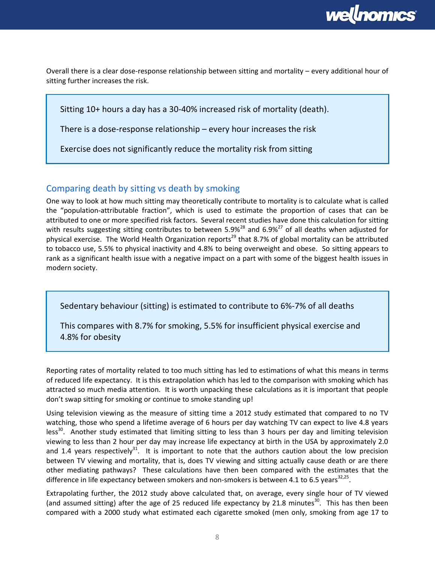

Overall there is a clear dose-response relationship between sitting and mortality – every additional hour of sitting further increases the risk.

Sitting 10+ hours a day has a 30-40% increased risk of mortality (death).

There is a dose-response relationship – every hour increases the risk

Exercise does not significantly reduce the mortality risk from sitting

### Comparing death by sitting vs death by smoking

One way to look at how much sitting may theoretically contribute to mortality is to calculate what is called the "population-attributable fraction", which is used to estimate the proportion of cases that can be attributed to one or more specified risk factors. Several recent studies have done this calculation for sitting with results suggesting sitting contributes to between 5.9%<sup>[28](#page-6-1)</sup> and 6.9%<sup>[27](#page-6-2)</sup> of all deaths when adjusted for physical exercise. The World Health Organization reports<sup>29</sup> that 8.7% of global mortality can be attributed to tobacco use, 5.5% to physical inactivity and 4.8% to being overweight and obese. So sitting appears to rank as a significant health issue with a negative impact on a part with some of the biggest health issues in modern society.

Sedentary behaviour (sitting) is estimated to contribute to 6%-7% of all deaths

This compares with 8.7% for smoking, 5.5% for insufficient physical exercise and 4.8% for obesity

Reporting rates of mortality related to too much sitting has led to estimations of what this means in terms of reduced life expectancy. It is this extrapolation which has led to the comparison with smoking which has attracted so much media attention. It is worth unpacking these calculations as it is important that people don't swap sitting for smoking or continue to smoke standing up!

<span id="page-7-0"></span>Using television viewing as the measure of sitting time a 2012 study estimated that compared to no TV watching, those who spend a lifetime average of 6 hours per day watching TV can expect to live 4.8 years less<sup>30</sup>. Another study estimated that limiting sitting to less than 3 hours per day and limiting television viewing to less than 2 hour per day may increase life expectancy at birth in the USA by approximately 2.0 and 1.4 years respectively<sup>31</sup>. It is important to note that the authors caution about the low precision between TV viewing and mortality, that is, does TV viewing and sitting actually cause death or are there other mediating pathways? These calculations have then been compared with the estimates that the difference in life expectancy between smokers and non-smokers is between 4.1 to 6.5 years<sup>32,25</sup>.

<span id="page-7-1"></span>Extrapolating further, the 2012 study above calculated that, on average, every single hour of TV viewed (and assumed sitting) after the age of 25 reduced life expectancy by 21.8 minutes<sup>[30](#page-7-0)</sup>. This has then been compared with a 2000 study what estimated each cigarette smoked (men only, smoking from age 17 to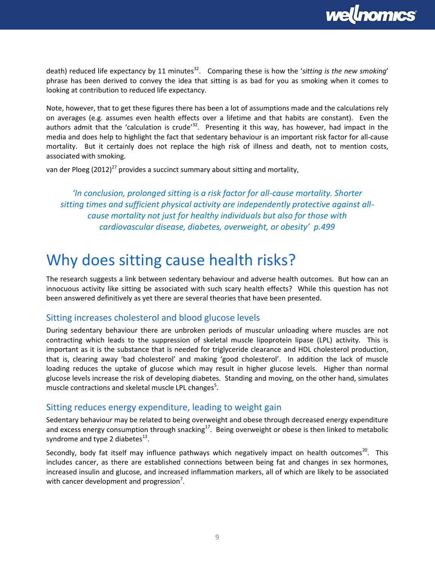

death) reduced life expectancy by 11 minutes<sup>[32](#page-7-1)</sup>. Comparing these is how the 'sitting is the new smoking' phrase has been derived to convey the idea that sitting is as bad for you as smoking when it comes to looking at contribution to reduced life expectancy.

Note, however, that to get these figures there has been a lot of assumptions made and the calculations rely on averages (e.g. assumes even health effects over a lifetime and that habits are constant). Even the authors admit that the 'calculation is crude'<sup>[32](#page-7-1)</sup>. Presenting it this way, has however, had impact in the media and does help to highlight the fact that sedentary behaviour is an important risk factor for all-cause mortality. But it certainly does not replace the high risk of illness and death, not to mention costs, associated with smoking.

van der Ploeg (2012)<sup>[27](#page-6-2)</sup> provides a succinct summary about sitting and mortality,

*'In conclusion, prolonged sitting is a risk factor for all-cause mortality. Shorter sitting times and sufficient physical activity are independently protective against allcause mortality not just for healthy individuals but also for those with cardiovascular disease, diabetes, overweight, or obesity' p.499*

### Why does sitting cause health risks?

The research suggests a link between sedentary behaviour and adverse health outcomes. But how can an innocuous activity like sitting be associated with such scary health effects? While this question has not been answered definitively as yet there are several theories that have been presented.

#### Sitting increases cholesterol and blood glucose levels

During sedentary behaviour there are unbroken periods of muscular unloading where muscles are not contracting which leads to the suppression of skeletal muscle lipoprotein lipase (LPL) activity. This is important as it is the substance that is needed for triglyceride clearance and HDL cholesterol production, that is, clearing away 'bad cholesterol' and making 'good cholesterol'. In addition the lack of muscle loading reduces the uptake of glucose which may result in higher glucose levels. Higher than normal glucose levels increase the risk of developing diabetes. Standing and moving, on the other hand, simulates mu[s](#page-2-0)cle contractions and skeletal muscle LPL changes<sup>5</sup>.

#### Sitting reduces energy expenditure, leading to weight gain

Sedentary behaviour may be related to being overweight and obese through decreased energy expenditure and excess energy consumption through snacking<sup>[17](#page-4-0)</sup>. Being overweight or obese is then linked to metabolic syndrome and type 2 diabetes $^{13}$  $^{13}$  $^{13}$ .

Secondly, body fat itself may influence pathways which negatively impact on health outcomes<sup>[20](#page-5-1)</sup>. This includes cancer, as there are established connections between being fat and changes in sex hormones, increased insulin and glucose, and increased inflammation markers, all of which are likely to be associated with ca[n](#page-2-1)cer development and progression<sup>7</sup>.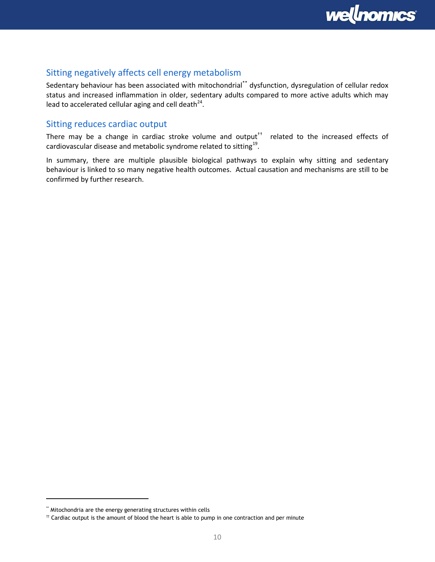

### Sitting negatively affects cell energy metabolism

Sedentary behaviour has been associated with mitochondrial\*\* dysfunction, dysregulation of cellular redox status and increased inflammation in older, sedentary adults compared to more active adults which may lead to accelerated cellular aging and cell death $^{24}$  $^{24}$  $^{24}$ .

### Sitting reduces cardiac output

There may be a change in cardiac stroke volume and output<sup> $+$ </sup> related to the increased effects of cardiovascular disease and metabolic syndrome related to sitting $^{19}$  $^{19}$  $^{19}$ .

In summary, there are multiple plausible biological pathways to explain why sitting and sedentary behaviour is linked to so many negative health outcomes. Actual causation and mechanisms are still to be confirmed by further research.

<sup>\*\*</sup> Mitochondria are the energy generating structures within cells

 $<sup>††</sup>$  Cardiac output is the amount of blood the heart is able to pump in one contraction and per minute</sup>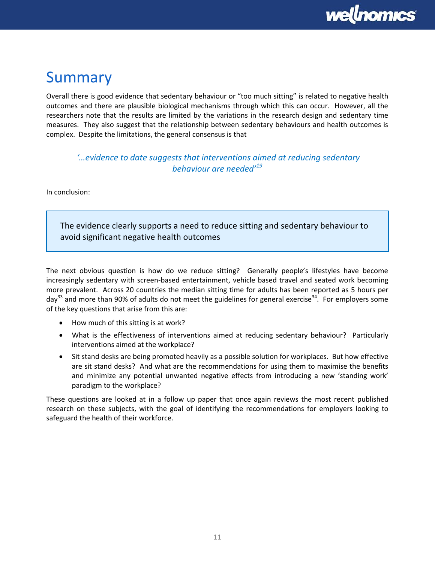# Summary

Overall there is good evidence that sedentary behaviour or "too much sitting" is related to negative health outcomes and there are plausible biological mechanisms through which this can occur. However, all the researchers note that the results are limited by the variations in the research design and sedentary time measures. They also suggest that the relationship between sedentary behaviours and health outcomes is complex. Despite the limitations, the general consensus is that

### *'…evidence to date suggests that interventions aimed at reducing sedentary behaviour are needed'[19](#page-5-0)*

In conclusion:

The evidence clearly supports a need to reduce sitting and sedentary behaviour to avoid significant negative health outcomes

The next obvious question is how do we reduce sitting? Generally people's lifestyles have become increasingly sedentary with screen-based entertainment, vehicle based travel and seated work becoming more prevalent. Across 20 countries the median sitting time for adults has been reported as 5 hours per  $day^{33}$  and more than 90% of adults do not meet the guidelines for general exercise<sup>34</sup>. For employers some of the key questions that arise from this are:

- How much of this sitting is at work?
- What is the effectiveness of interventions aimed at reducing sedentary behaviour? Particularly interventions aimed at the workplace?
- Sit stand desks are being promoted heavily as a possible solution for workplaces. But how effective are sit stand desks? And what are the recommendations for using them to maximise the benefits and minimize any potential unwanted negative effects from introducing a new 'standing work' paradigm to the workplace?

These questions are looked at in a follow up paper that once again reviews the most recent published research on these subjects, with the goal of identifying the recommendations for employers looking to safeguard the health of their workforce.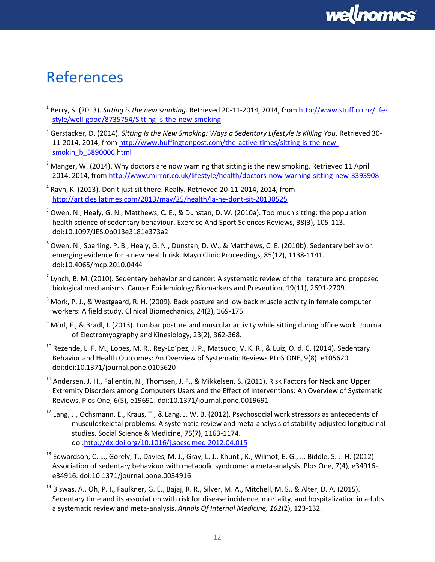# References

- <sup>1</sup> Berry, S. (2013). *Sitting is the new smoking*. Retrieved 20-11-2014, 2014, from <u>http://www.stuff.co.nz/life-</u> [style/well-good/8735754/Sitting-is-the-new-smoking](http://www.stuff.co.nz/life-style/well-good/8735754/Sitting-is-the-new-smoking)
- <sup>2</sup> Gerstacker, D. (2014). *Sitting Is the New Smoking: Ways a Sedentary Lifestyle Is Killing You*. Retrieved 30- 11-2014, 2014, fro[m http://www.huffingtonpost.com/the-active-times/sitting-is-the-new](http://www.huffingtonpost.com/the-active-times/sitting-is-the-new-smokin_b_5890006.html)[smokin\\_b\\_5890006.html](http://www.huffingtonpost.com/the-active-times/sitting-is-the-new-smokin_b_5890006.html)
- $3$  Manger, W. (2014). Why doctors are now warning that sitting is the new smoking. Retrieved 11 April 2014, 2014, from<http://www.mirror.co.uk/lifestyle/health/doctors-now-warning-sitting-new-3393908>
- $^4$  Ravn, K. (2013). Don't just sit there. Really. Retrieved 20-11-2014, 2014, from <http://articles.latimes.com/2013/may/25/health/la-he-dont-sit-20130525>
- $5$  Owen, N., Healy, G. N., Matthews, C. E., & Dunstan, D. W. (2010a). Too much sitting: the population health science of sedentary behaviour. Exercise And Sport Sciences Reviews, 38(3), 105-113. doi:10.1097/JES.0b013e3181e373a2
- $6$  Owen, N., Sparling, P. B., Healy, G. N., Dunstan, D. W., & Matthews, C. E. (2010b). Sedentary behavior: emerging evidence for a new health risk. Mayo Clinic Proceedings, 85(12), 1138-1141. doi:10.4065/mcp.2010.0444
- $^7$  Lynch, B. M. (2010). Sedentary behavior and cancer: A systematic review of the literature and proposed biological mechanisms. Cancer Epidemiology Biomarkers and Prevention, 19(11), 2691-2709.
- <sup>8</sup> Mork, P. J., & Westgaard, R. H. (2009). Back posture and low back muscle activity in female computer workers: A field study. Clinical Biomechanics, 24(2), 169-175.
- $9$  Mörl, F., & Bradl, I. (2013). Lumbar posture and muscular activity while sitting during office work. Journal of Electromyography and Kinesiology, 23(2), 362-368.
- $^{10}$  Rezende, L. F. M., Lopes, M. R., Rey-Lo'pez, J. P., Matsudo, V. K. R., & Luiz, O. d. C. (2014). Sedentary Behavior and Health Outcomes: An Overview of Systematic Reviews PLoS ONE, 9(8): e105620. doi:doi:10.1371/journal.pone.0105620
- <sup>11</sup> Andersen, J. H., Fallentin, N., Thomsen, J. F., & Mikkelsen, S. (2011). Risk Factors for Neck and Upper Extremity Disorders among Computers Users and the Effect of Interventions: An Overview of Systematic Reviews. Plos One, 6(5), e19691. doi:10.1371/journal.pone.0019691
- <sup>12</sup> Lang, J., Ochsmann, E., Kraus, T., & Lang, J. W. B. (2012). Psychosocial work stressors as antecedents of musculoskeletal problems: A systematic review and meta-analysis of stability-adjusted longitudinal studies. Social Science & Medicine, 75(7), 1163-1174. doi[:http://dx.doi.org/10.1016/j.socscimed.2012.04.015](http://dx.doi.org/10.1016/j.socscimed.2012.04.015)
- $^{13}$  Edwardson, C. L., Gorely, T., Davies, M. J., Gray, L. J., Khunti, K., Wilmot, E. G., ... Biddle, S. J. H. (2012). Association of sedentary behaviour with metabolic syndrome: a meta-analysis. Plos One, 7(4), e34916 e34916. doi:10.1371/journal.pone.0034916
- <sup>14</sup> Biswas, A., Oh, P. I., Faulkner, G. E., Bajaj, R. R., Silver, M. A., Mitchell, M. S., & Alter, D. A. (2015). Sedentary time and its association with risk for disease incidence, mortality, and hospitalization in adults a systematic review and meta-analysis. *Annals Of Internal Medicine, 162*(2), 123-132.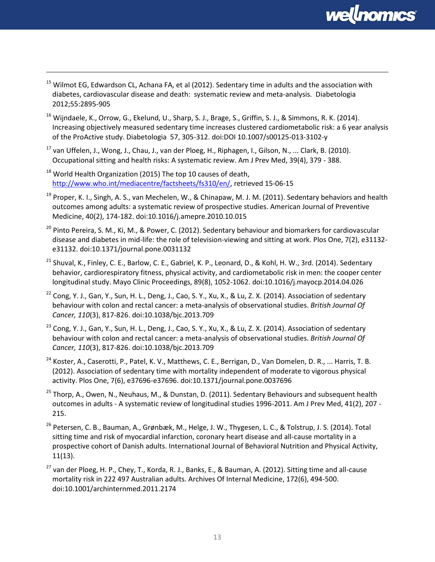

- $15$  Wilmot EG, Edwardson CL, Achana FA, et al (2012). Sedentary time in adults and the association with diabetes, cardiovascular disease and death: systematic review and meta-analysis. Diabetologia 2012;55:2895-905
- $16$  Wijndaele, K., Orrow, G., Ekelund, U., Sharp, S. J., Brage, S., Griffin, S. J., & Simmons, R. K. (2014). Increasing objectively measured sedentary time increases clustered cardiometabolic risk: a 6 year analysis of the ProActive study. Diabetologia 57, 305-312. doi:DOI 10.1007/s00125-013-3102-y
- <sup>17</sup> van Uffelen, J., Wong, J., Chau, J., van der Ploeg, H., Riphagen, I., Gilson, N., ... Clark, B. (2010). Occupational sitting and health risks: A systematic review. Am J Prev Med, 39(4), 379 - 388.
- $18$  World Health Organization (2015) The top 10 causes of death, [http://www.who.int/mediacentre/factsheets/fs310/en/,](http://www.who.int/mediacentre/factsheets/fs310/en/) retrieved 15-06-15

- <sup>19</sup> Proper, K. I., Singh, A. S., van Mechelen, W., & Chinapaw, M. J. M. (2011). Sedentary behaviors and health outcomes among adults: a systematic review of prospective studies. American Journal of Preventive Medicine, 40(2), 174-182. doi:10.1016/j.amepre.2010.10.015
- <sup>20</sup> Pinto Pereira, S. M., Ki, M., & Power, C. (2012). Sedentary behaviour and biomarkers for cardiovascular disease and diabetes in mid-life: the role of television-viewing and sitting at work. Plos One, 7(2), e31132 e31132. doi:10.1371/journal.pone.0031132
- <sup>21</sup> Shuval, K., Finley, C. E., Barlow, C. E., Gabriel, K. P., Leonard, D., & Kohl, H. W., 3rd. (2014). Sedentary behavior, cardiorespiratory fitness, physical activity, and cardiometabolic risk in men: the cooper center longitudinal study. Mayo Clinic Proceedings, 89(8), 1052-1062. doi:10.1016/j.mayocp.2014.04.026
- $22$  Cong, Y. J., Gan, Y., Sun, H. L., Deng, J., Cao, S. Y., Xu, X., & Lu, Z. X. (2014). Association of sedentary behaviour with colon and rectal cancer: a meta-analysis of observational studies. *British Journal Of Cancer, 110*(3), 817-826. doi:10.1038/bjc.2013.709
- $^{23}$  Cong, Y. J., Gan, Y., Sun, H. L., Deng, J., Cao, S. Y., Xu, X., & Lu, Z. X. (2014). Association of sedentary behaviour with colon and rectal cancer: a meta-analysis of observational studies. *British Journal Of Cancer, 110*(3), 817-826. doi:10.1038/bjc.2013.709
- <sup>24</sup> Koster, A., Caserotti, P., Patel, K. V., Matthews, C. E., Berrigan, D., Van Domelen, D. R., ... Harris, T. B. (2012). Association of sedentary time with mortality independent of moderate to vigorous physical activity. Plos One, 7(6), e37696-e37696. doi:10.1371/journal.pone.0037696
- <sup>25</sup> Thorp, A., Owen, N., Neuhaus, M., & Dunstan, D. (2011). Sedentary Behaviours and subsequent health outcomes in adults - A systematic review of longitudinal studies 1996-2011. Am J Prev Med, 41(2), 207 - 215.
- <sup>26</sup> Petersen, C. B., Bauman, A., Grønbæk, M., Helge, J. W., Thygesen, L. C., & Tolstrup, J. S. (2014). Total sitting time and risk of myocardial infarction, coronary heart disease and all-cause mortality in a prospective cohort of Danish adults. International Journal of Behavioral Nutrition and Physical Activity, 11(13).
- $^{27}$  van der Ploeg, H. P., Chey, T., Korda, R. J., Banks, E., & Bauman, A. (2012). Sitting time and all-cause mortality risk in 222 497 Australian adults. Archives Of Internal Medicine, 172(6), 494-500. doi:10.1001/archinternmed.2011.2174